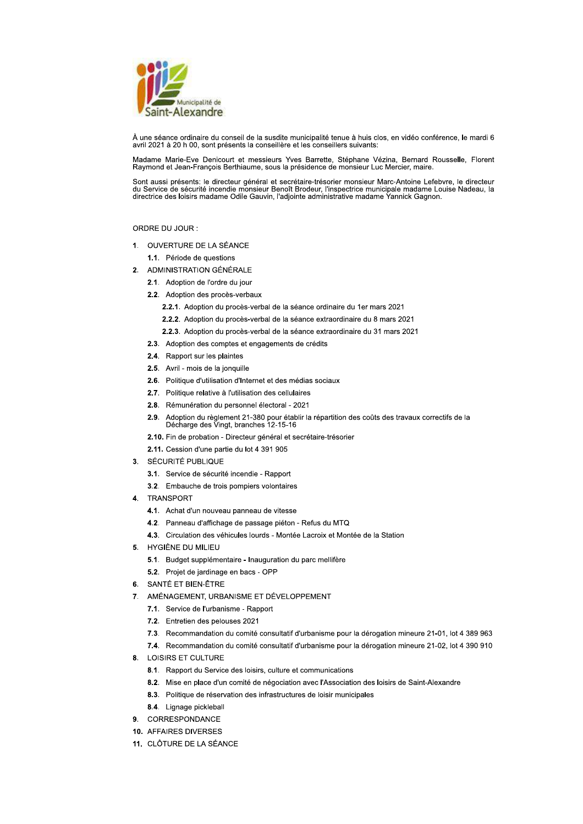

À une séance ordinaire du conseil de la susdite municipalité tenue à huis clos, en vidéo conférence, le mardi 6 avril 2021 à 20 h 00, sont présents la conseillère et les conseillers suivants.

Madame Marie-Eve Denicourt et messieurs Yves Barrette, Stéphane Vézina, Bernard Rousselle, Florent Raymond et Jean-François Berthiaume, sous la présidence de monsieur Luc Mercier, maire

Sont aussi présents: le directeur général et secrétaire-trésorier monsieur Marc-Antoine Lefebvre, le directeur du Service de sécurité incendie monsieur Benoît Brodeur, l'inspectrice municipale madame Louise Nadeau, la<br>directrice des loisirs madame Odile Gauvin, l'adjointe administrative madame Yannick Gagnon.

# ORDRE DU JOUR:

1. OUVERTURE DE LA SÉANCE

1.1. Période de questions

- 2. ADMINISTRATION GÉNÉRALE
	- 2.1. Adoption de l'ordre du jour
	- 2.2. Adoption des procès-verbaux
		- 2.2.1. Adoption du procès-verbal de la séance ordinaire du 1er mars 2021
		- 2.2.2. Adoption du procès-verbal de la séance extraordinaire du 8 mars 2021
		- 2.2.3. Adoption du procès-verbal de la séance extraordinaire du 31 mars 2021
	- 2.3. Adoption des comptes et engagements de crédits
	- 2.4. Rapport sur les plaintes
	- 2.5. Avril mois de la jonquille
	- 2.6. Politique d'utilisation d'Internet et des médias sociaux
	- 2.7. Politique relative à l'utilisation des cellulaires
	- 2.8. Rémunération du personnel électoral 2021
	- $2.9.$ Adoption du règlement 21-380 pour établir la répartition des coûts des travaux correctifs de la Décharge des Vingt, branches 12-15-16
	- 2.10. Fin de probation Directeur général et secrétaire-trésorier
	- 2.11. Cession d'une partie du lot 4 391 905
- 3. SÉCURITÉ PUBLIQUE
	- 3.1. Service de sécurité incendie Rapport
	- 3.2. Embauche de trois pompiers volontaires
- 4. TRANSPORT
	- 4.1. Achat d'un nouveau panneau de vitesse
	- 4.2. Panneau d'affichage de passage piéton Refus du MTQ
	- 4.3. Circulation des véhicules lourds Montée Lacroix et Montée de la Station
- 5. HYGIÈNE DU MILIEU
	- 5.1. Budget supplémentaire Inauguration du parc mellifère
	- 5.2. Projet de jardinage en bacs OPP
- 6. SANTÉ ET BIEN-ÊTRE
- 7. AMÉNAGEMENT, URBANISME ET DÉVELOPPEMENT
	- 7.1. Service de l'urbanisme Rapport
	- 7.2. Entretien des pelouses 2021
	- 7.3. Recommandation du comité consultatif d'urbanisme pour la dérogation mineure 21-01, lot 4 389 963
	- 7.4. Recommandation du comité consultatif d'urbanisme pour la dérogation mineure 21-02, lot 4 390 910
- 8. LOISIRS ET CULTURE
	- 8.1. Rapport du Service des loisirs, culture et communications
	- 8.2. Mise en place d'un comité de négociation avec l'Association des loisirs de Saint-Alexandre
	- 8.3. Politique de réservation des infrastructures de loisir municipales
	- 8.4. Lignage pickleball
- 9. CORRESPONDANCE
- 10. AFFAIRES DIVERSES
- 11. CLÔTURE DE LA SÉANCE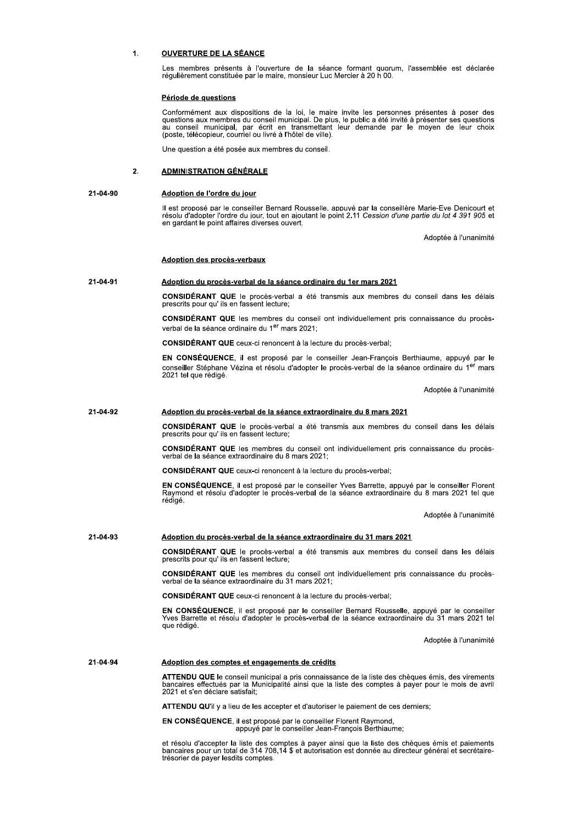## **OUVERTURE DE LA SÉANCE**  $\blacksquare$

Les membres présents à l'ouverture de la séance formant quorum, l'assemblée est déclarée régulièrement constituée par le maire, monsieur Luc Mercier à 20 h 00.

# Période de questions

Conformément aux dispositions de la loi, le maire invite les personnes présentes à poser des questions aux membres du conseil municipal. De plus, le public a été invité à présenter ses questions au conseil municipal, par é (poste, télécopieur, courriel ou livré à l'hôtel de ville).

Une question a été posée aux membres du conseil.

### $2.$ **ADMINISTRATION GÉNÉRALE**

### 21-04-90 Adoption de l'ordre du jour

Il est proposé par le conseiller Bernard Rousselle, appuvé par la conseillère Marie-Eve Denicourt et résolu d'adopter l'ordre du jour, tout en ajoutant le point 2.11 Cession d'une partie du lot 4 391 905 et en gardant le point affaires diverses ouvert.

Adoptée à l'unanimité

# **Adoption des procès-verbaux**

### 21-04-91 Adoption du procès-verbal de la séance ordinaire du 1er mars 2021

CONSIDÉRANT QUE le procès-verbal a été transmis aux membres du conseil dans les délais prescrits pour qu' ils en fassent lecture;

CONSIDÉRANT QUE les membres du conseil ont individuellement pris connaissance du procèsverbal de la séance ordinaire du 1<sup>er</sup> mars 2021;

**CONSIDÉRANT QUE** ceux-ci renoncent à la lecture du procès-verbal;

EN CONSÉQUENCE, il est proposé par le conseiller Jean-François Berthiaume, appuyé par le conseiller Stéphane Vézina et résolu d'adopter le procès-verbal de la séance ordinaire du 1<sup>er</sup> mars 2021 tel que rédigé.

Adoptée à l'unanimité

### 21-04-92 Adoption du procès-verbal de la séance extraordinaire du 8 mars 2021

**CONSIDÉRANT QUE** le procès-verbal a été transmis aux membres du conseil dans les délais prescrits pour qu'ils en fassent lecture;

CONSIDÉRANT QUE les membres du conseil ont individuellement pris connaissance du procèsverbal de la séance extraordinaire du 8 mars 2021;

**CONSIDÉRANT QUE** ceux-ci renoncent à la lecture du procès-verbal:

EN CONSÉQUENCE, il est proposé par le conseiller Yves Barrette, appuyé par le conseiller Florent Raymond et résolu d'adopter le procès-verbal de la séance extraordinaire du 8 mars 2021 tel que rédigé.

Adoptée à l'unanimité

### 21-04-93 Adoption du procès-verbal de la séance extraordinaire du 31 mars 2021

CONSIDÉRANT QUE le procès-verbal a été transmis aux membres du conseil dans les délais prescrits pour qu'ils en fassent lecture:

CONSIDÉRANT QUE les membres du conseil ont individuellement pris connaissance du procèsverbal de la séance extraordinaire du 31 mars 2021;

CONSIDÉRANT QUE ceux-ci renoncent à la lecture du procès-verbal;

EN CONSÉQUENCE, il est proposé par le conseiller Bernard Rousselle, appuvé par le conseiller The Barrette et résolu d'adopter le procès-verbal de la séance extraordinaire du 31 mars 2021 tel que rédigé.

Adoptée à l'unanimité

#### 21-04-94 Adoption des comptes et engagements de crédits

ATTENDU QUE le conseil municipal a pris connaissance de la liste des chèques émis, des virements<br>bancaires effectués par la Municipalité ainsi que la liste des comptes à payer pour le mois de avril 2021 et s'en déclare satisfait;

ATTENDU QU'il y a lieu de les accepter et d'autoriser le paiement de ces derniers;

EN CONSÉQUENCE, il est proposé par le conseiller Florent Raymond, appuvé par le conseiller Jean-Francois Berthiaume.

et résolu d'accepter la liste des comptes à payer ainsi que la liste des chèques émis et paiements<br>bancaires pour un total de 314 708,14 \$ et autorisation est donnée au directeur général et secrétairetrésorier de payer lesdits comptes.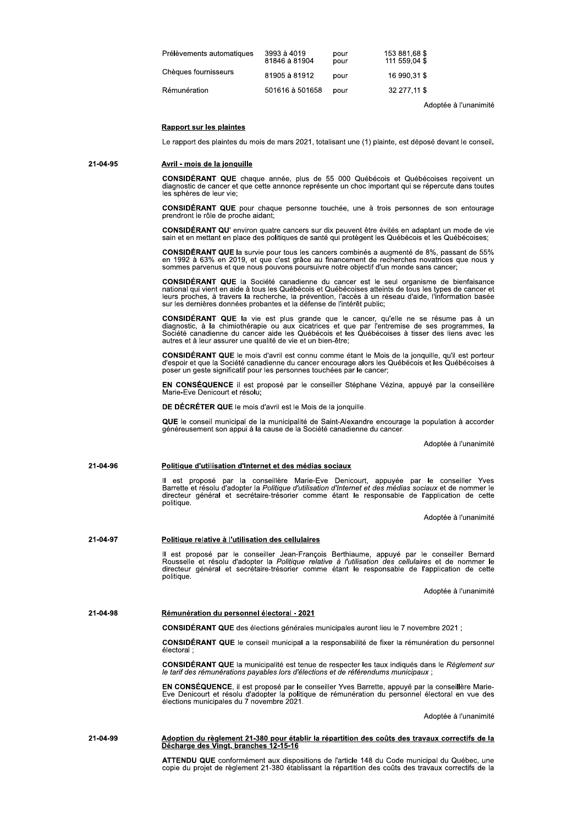| Prélèvements automatiques | 3993 à 4019<br>81846 à 81904 | pour<br>pour | 153 881,68 \$<br>111 559,04 \$ |
|---------------------------|------------------------------|--------------|--------------------------------|
| Chèaues fournisseurs      | 81905 à 81912                | pour         | 16 990.31 \$                   |
| Rémunération              | 501616 à 501658              | pour         | 32 277.11 \$                   |

Adoptée à l'unanimité

# **Rapport sur les plaintes**

Le rapport des plaintes du mois de mars 2021, totalisant une (1) plainte, est déposé devant le conseil.

### 21-04-95 Avril - mois de la jonquille

CONSIDÉRANT QUE chaque année, plus de 55 000 Québécois et Québécoises recoivent un diagnostic de cancer et que cette annonce représente un choc important qui se répercute dans toutes les sphères de leur vie:

CONSIDÉRANT QUE pour chaque personne touchée, une à trois personnes de son entourage prendront le rôle de proche aidant;

CONSIDÉRANT QU' environ quatre cancers sur dix peuvent être évités en adaptant un mode de vie sain et en mettant en place des politiques de santé qui protègent les Québécois et les Québécoises;

CONSIDÉRANT QUE la survie pour tous les cancers combinés a augmenté de 8%, passant de 55% en 1992 à 63% en 2019, et que c'est grâce au financement de recherches novatrices que nous y<br>sommes parvenus et que nous pouvons poursuivre notre objectif d'un monde sans cancer;

CONSIDÉRANT QUE la Société canadienne du cancer est le seul organisme de bienfaisance national qui vient en aide à tous les Québécois et Québécoises atteints de tous les types de cancer et Transporter en alus a text de la recherche, la prévention, l'accès à au réseau d'aide, l'information basée<br>sur les dernières da travers la recherche, la prévention, l'accès à un réseau d'aide, l'information basée<br>sur les d

CONSIDÉRANT QUE la vie est plus grande que le cancer, qu'elle ne se résume pas à un diagnostic, à la chimiothérapie ou aux cicatrices et que par l'entremise de ses programmes, la Société canadienne du cancer aide les Québé autres et à leur assurer une qualité de vie et un bien-être;

CONSIDÉRANT QUE le mois d'avril est connu comme étant le Mois de la jonquille, qu'il est porteur<br>d'espoir et que la Société canadienne du cancer encourage alors les Québécois et les Québécoises à poser un geste significatif pour les personnes touchées par le cancer;

EN CONSÉQUENCE il est proposé par le conseiller Stéphane Vézina, appuyé par la conseillère Marie-Eve Denicourt et résolu;

DE DÉCRÉTER QUE le mois d'avril est le Mois de la jonquille.

QUE le conseil municipal de la municipalité de Saint-Alexandre encourage la population à accorder<br>généreusement son appui à la cause de la Société canadienne du cancer.

Adoptée à l'unanimité

### 21-04-96 Politique d'utilisation d'Internet et des médias sociaux

est proposé par la conseillère Marie-Eve Denicourt, appuyée par le conseiller Yves Barrette et résolu d'adopter la Politique d'utilisation d'Internet et des médias sociaux et de nommer le directeur général et secrétaire-trésorier comme étant le responsable de l'application de cette politique.

Adoptée à l'unanimité

# 21-04-97 Politique relative à l'utilisation des cellulaires

Il est proposé par le conseiller Jean-François Berthiaume, appuyé par le conseiller Bernard<br>Rousselle et résolu d'adopter la Politique relative à l'utilisation des cellulaires et de nommer le<br>directeur général et secrétair politique

Adoptée à l'unanimité

#### 21-04-98 Rémunération du personnel électoral - 2021

CONSIDÉRANT QUE des élections générales municipales auront lieu le 7 novembre 2021 ;

CONSIDÉRANT QUE le conseil municipal a la responsabilité de fixer la rémunération du personnel électoral

CONSIDÉRANT QUE la municipalité est tenue de respecter les taux indiqués dans le Règlement sur le tarif des rémunérations payables lors d'élections et de référendums municipaux

EN CONSÉQUENCE, il est proposé par le conseiller Yves Barrette, appuyé par la conseillère Marie-Eve Denicourt et résolu d'adopter la politique de rémunération du personnel électoral en vue des<br>élections municipales du 7 novembre 2021.

Adoptée à l'unanimité

# Adoption du règlement 21-380 pour établir la répartition des coûts des travaux correctifs de la<br>Décharge des Vingt, branches 12-15-16 21-04-99

ATTENDU QUE conformément aux dispositions de l'article 148 du Code municipal du Québec, une copie du projet de règlement 21-380 établissant la répartition des coûts des travaux correctifs de la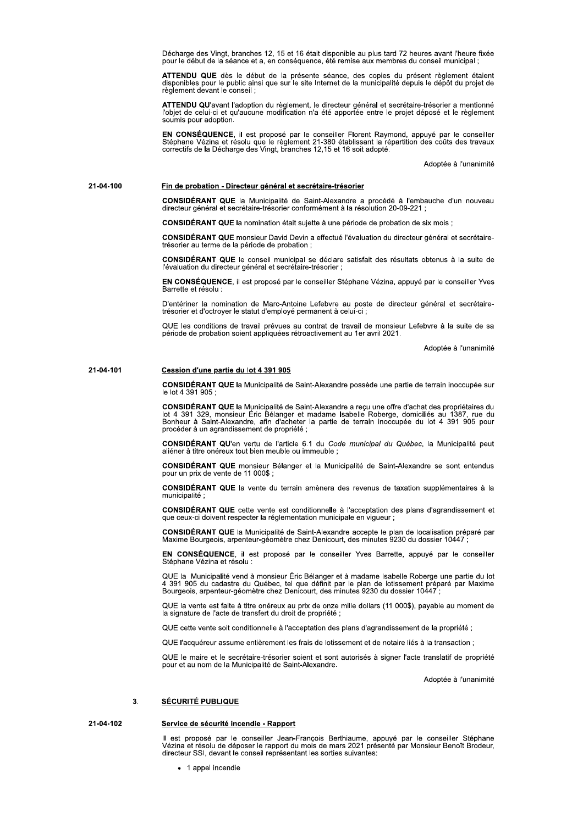Décharge des Vingt, branches 12, 15 et 16 était disponible au plus tard 72 heures avant l'heure fixée pour le début de la séance et a, en conséquence, été remise aux membres du conseil municipal

ATTENDU QUE dès le début de la présente séance, des copies du présent règlement étaient disponibles pour le public ainsi que sur le site Internet de la municipalité depuis le dépôt du projet de règlement devant le conseil

ATTENDU QU'avant l'adoption du règlement, le directeur général et secrétaire-trésorier a mentionné<br>l'objet de celui-ci et qu'aucune modification n'a été apportée entre le projet déposé et le règlement soumis pour adoption.

EN CONSÉQUENCE, il est proposé par le conseiller Florent Raymond, appuyé par le conseiller Stéphane Vézina et résolu que le règlement 21-380 établissant la répartition des coûts des travaux correctifs de la Décharge des Vi

Adoptée à l'unanimité

### 21-04-100 Fin de probation - Directeur général et secrétaire-trésorier

CONSIDÉRANT QUE la Municipalité de Saint-Alexandre a procédé à l'embauche d'un nouveau directeur général et secrétaire-trésorier conformément à la résolution 20-09-221 ;

CONSIDÉRANT QUE la nomination était sujette à une période de probation de six mois ;

CONSIDÉRANT QUE monsieur David Devin a effectué l'évaluation du directeur général et secrétairetrésorier au terme de la période de probation

CONSIDÉRANT QUE le conseil municipal se déclare satisfait des résultats obtenus à la suite de l'évaluation du directeur général et secrétaire-trésorier ;

EN CONSÉQUENCE, il est proposé par le conseiller Stéphane Vézina, appuyé par le conseiller Yves Barrette et résolu

D'entériner la nomination de Marc-Antoine Lefebvre au poste de directeur général et secrétaire-<br>trésorier et d'octroyer le statut d'employé permanent à celui-ci ;

QUE les conditions de travail prévues au contrat de travail de monsieur Lefebvre à la suite de sa période de probation soient appliquées rétroactivement au 1er avril 2021.

Adoptée à l'unanimité

### 21-04-101 Cession d'une partie du lot 4 391 905

CONSIDÉRANT QUE la Municipalité de Saint-Alexandre possède une partie de terrain inoccupée sur le lot 4 391 905 :

CONSIDÉRANT QUE la Municipalité de Saint-Alexandre a reçu une offre d'achat des propriétaires du<br>lot 4 391 329, monsieur Éric Bélanger et madame Isabelle Roberge, domiciliés au 1387, rue du Bonheur à Saint-Alexandre, afin d'acheter la partie de terrain inoccupée du lot 4 391 905 pour procéder à un agrandissement de propriété ;

CONSIDÉRANT QU'en vertu de l'article 6.1 du Code municipal du Québec, la Municipalité peut aliéner à titre onéreux tout bien meuble ou immeuble :

CONSIDÉRANT QUE monsieur Bélanger et la Municipalité de Saint-Alexandre se sont entendus pour un prix de vente de 11 000\$ ;

CONSIDÉRANT QUE la vente du terrain amènera des revenus de taxation supplémentaires à la municipalité

CONSIDÉRANT QUE cette vente est conditionnelle à l'acceptation des plans d'agrandissement et que ceux-ci doivent respecter la réglementation municipale en viqueur

CONSIDÉRANT QUE la Municipalité de Saint-Alexandre accepte le plan de localisation préparé par<br>Maxime Bourgeois, arpenteur-géomètre chez Denicourt, des minutes 9230 du dossier 10447 ;

EN CONSÉQUENCE, il est proposé par le conseiller Yves Barrette, appuyé par le conseiller Stéphane Vézina et résolu :

QUE la Municipalité vend à monsieur Éric Bélanger et à madame Isabelle Roberge une partie du lot 4.391.905 du cadastre du Québec, tel que définit par le plan de lotissement préparé par Maxime<br>Bourgeois, arpenteur-géomètre chez Denicourt, des minutes 9230 du dossier 10447 ;

QUE la vente est faite à titre onéreux au prix de onze mille dollars (11 000\$), payable au moment de la signature de l'acte de transfert du droit de propriété ;

QUE cette vente soit conditionnelle à l'acceptation des plans d'agrandissement de la propriété ;

OUE l'acquéreur assume entièrement les frais de lotissement et de notaire liés à la transaction :

QUE le maire et le secrétaire-trésorier soient et sont autorisés à signer l'acte translatif de propriété pour et au nom de la Municipalité de Saint-Alexandre.

Adoptée à l'unanimité

## **SÉCURITÉ PUBLIQUE**  $\overline{3}$ .

## 21-04-102 Service de sécurité incendie - Rapport

Il est proposé par le conseiller Jean-Francois Berthiaume. appuvé par le conseiller Stéphane<br>Vézina et résolu de déposer le rapport du mois de mars 2021 présenté par Monsieur Benoît Brodeur, directeur SSI, devant le conseil représentant les sorties suivantes:

• 1 appel incendie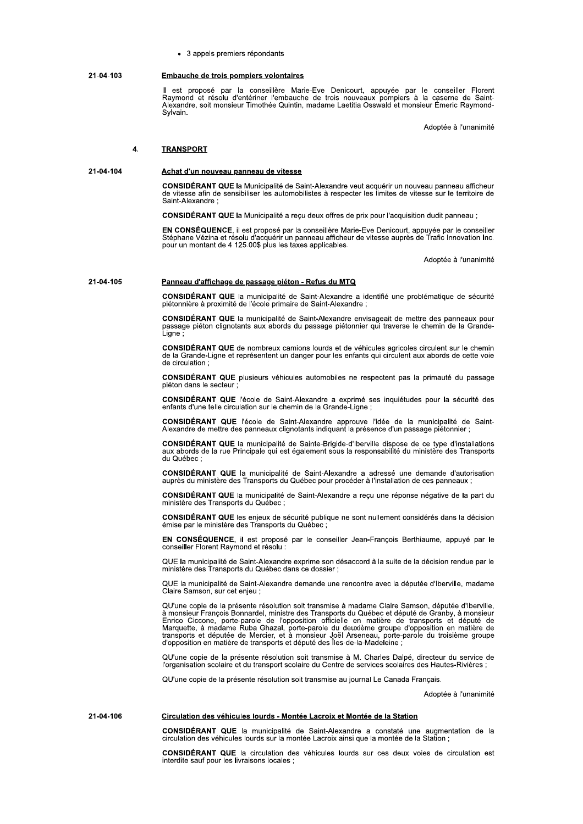3 appeis premiers repondants

II est propose par la conselliere Marie-Eve Denicourt, appuyee par le conseiller Florent<br>Raymond et résolu d'entériner l'embauche de trois nouveaux pompiers à la caserne de Saint-<br>Alexandre, soit-monsieur-Timothée-Quintin, ie-Eve Denicourt, appuyée par le cons<br>ne de trois nouveaux pompiers à la caser<br>, madame Laetitia Osswald et monsieur Éme<br>Adoptée id et monsieur Emeric Raymond-Sylvain. Embauche de trois pompiers volontaires<br>
Il est proposé par la conseillère Marie-Eve Denicourt, appuyée par le conseiller Florent<br>
Raymond et résolu d'entériner l'embauche de trois nouveaux pompiers à la caserne de Saint-<br>A

Adoptee a runanimite

# 4. TRANSPORT

21-04-104 Achat d'un nouveau panneau de vitesse

CONSIDERANT QUE la Municipalite de Saint-Alexandre veut acquerir un nouveau panneau aff CONSIDERANT QUE la Municipalite de Saint-Alexandre veut acquerir un nouveau panneau afficheur<br>de vitesse afin de sensibiliser les automobilistes à respecter les limites de vitesse sur le territoire de Saint-Alexandre ;

**CONSIDERANT QUE** la Municipalite a reçu deux offres de prix pour l'acquisition dudit panneau ;

 $EN$  CONSEQUENCE, II est propose par la conseillere Marie-Eve Denicourt, appuyée par En CONSEQUENCE, il est propose par la conselliere Marie-Eve Denicourt, appuyee par le consellier<br>Stéphane Vézina et résolu d'acquérir un panneau afficheur de vitesse auprès de Trafic Innovation Inc.<br>pour un montant de 4 12

Adoptee a runanimite

# 21-04-105 Panneau d'affichage de passage piéton - Refus du MTQ

 $CONSIDERANT QUE$  ia municipalite de Saint-Alexandre a identifie une problematique de securite pietonniere a proximite de l'ecole primaire de Saint-Alexandre ;

envisageait de mettre des panneaux pour passage pieton ciignotants aux abords du passage pietonnier qui traverse le chemin de la Grande- $\overline{ }$  i iane  $\overline{ }$ 

CONSIDERANT QUE de nombreux camions lourds et de venicules ag **CONSIDERANT QUE** de nombreux camions lourds et de venicules agricoles circulent sur le chemin<br>de la Grande-Ligne et représentent un danger pour les enfants qui circulent aux abords de cette voie ae circulation ;

**CONSIDERANT QUE** plusieurs venicules automobiles ne respectent pas la primaute du passage pieton dans le secteur ;

CONSIDERANT QUE l'ecole de Saint-Alexandre a exprime ses inquietudes pour la securite des<br>enfants d'une telle circulation sur le chemin de la Grande-Ligne ;

**CONSIDERANT QUE** l'école de Saint-Alexandre approuve l'idee de la municipalité de Saint-Alexandre de mettre des panneaux clignotants indiquant la presence d'un passage pietonnier ;

 $\blacksquare$  CONSIDERANT QUE la municipalite de Sainte-Brigide-d'Iberville dispose de ce type d'installations aux aborgs de la rue Principale qui est egalement sous la responsabilite du ministere des Transports<br>du Québec ; du Québec :

 $CONSIDEKANI$ , QUE la municipalite de Saint-Alexandre a adresse une demande d'autorisation aupres du ministere des Transports du Quebec pour proceder a l'installation de ces panneaux ;

a reçu une reponse negative de la part du ministere des Transports du Quebec ;

CONSIDERANT QUE les enjeux de securite publique ne sont nuilement consideres dans la decision<br>émise par le ministère des Transports du Québec ;

**EN CONSEQUENCE**, il est propose par le consellier Jean-François Berthlaume, appuye par le<br>conseiller Florent Raymond et résolu :

QUE la municipalite de Saint-Alexandre exprime son desaccord a la suite de la decisión rendue par le<br>ministère des Transports du Québec dans ce dossier ;

QUE la municipalite de Saint-Alexandre demande une rencontre avec la deputee d'iberville, madame<br>Claire Samson, sur cet enjeu ; ire Samson, sur cet enjeu ;

QU'une copie de la presente resolution soit transmise a madame Ciaire Samson, deputee d'iberville,<br>È monsieur François Bonnardel, ministre des Transports du Québec et député de Marquette, à madame Ruba Ghazal, porte-parole d'opposition en matière de transports et député des lies-de-la-Madeleine ;

QU'une copie de la presente resolution solt transmise a M. Charles Daipe, directeur du service de<br>l'organisation scolaire et du transport scolaire du Centre de services scolaires des Hautes-Rivières ; OU'une copie de la présente résolution soit transmise à M. Charles Dalpé, directeur du service de

se au journal Le Canada Français.

Adoptee a runanimite

 $\text{CONSIDEKANI}$  QUE la municipalite de Saint-Alexandre a constate une augmentation de la  $c$ ir $c$ ulation des venicules lourds sur la montee Lacroix ainsi que la montee de la Station ;

Considerant des venicules lourds - Montee Lacroix et Montee de la Station<br>CONSIDÉRANT QUE la municipalité de Saint-Alexandre a constaté une augmentation de la<br>circulation des véhicules lourds sur la montée Lacroix ainsi qu interdite sauf pour les livraisons locale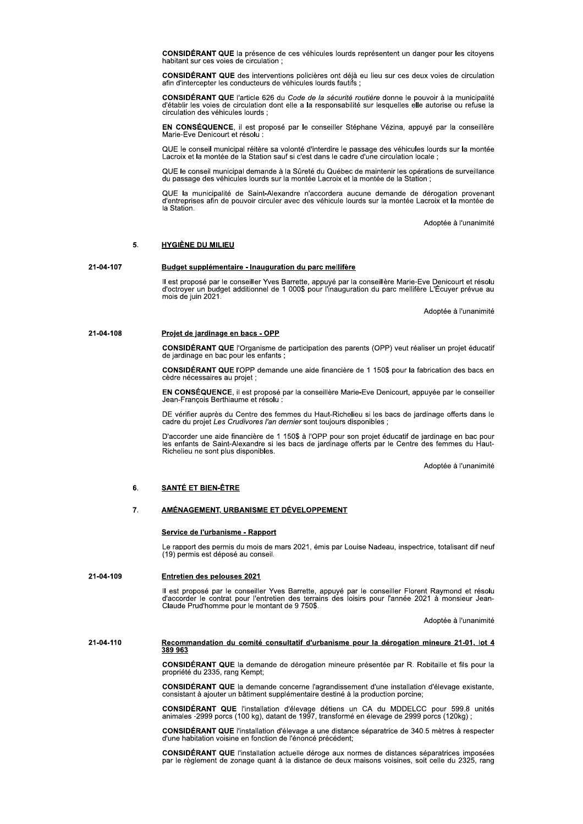CONSIDÉRANT QUE la présence de ces véhicules lourds représentent un danger pour les citoyens habitant sur ces voies de circulation;

CONSIDÉRANT QUE des interventions policières ont déjà eu lieu sur ces deux voies de circulation afin d'intercepter les conducteurs de véhicules lourds fautifs ;

CONSIDÉRANT QUE l'article 626 du Code de la sécurité routière donne le pouvoir à la municipalité d'établir les voies de circulation dont elle a la responsabilité sur lesquelles elle autorise ou refuse la circulation des véhicules lourds ;

EN CONSÉQUENCE, il est proposé par le conseiller Stéphane Vézina, appuyé par la conseillère Marie-Eve Denicourt et résolu :

QUE le conseil municipal réitère sa volonté d'interdire le passage des véhicules lourds sur la montée<br>Lacroix et la montée de la Station sauf si c'est dans le cadre d'une circulation locale ;

QUE le conseil municipal demande à la Sûreté du Québec de maintenir les opérations de surveillance du passage des véhicules lourds sur la montée Lacroix et la montée de la Station;

QUE la municipalité de Saint-Alexandre n'accordera aucune demande de dérogation provenant<br>d'entreprises afin de pouvoir circuler avec des véhicule lourds sur la montée Lacroix et la montée de la Station.

Adoptée à l'unanimité

### 5. **HYGIÈNE DU MILIEU**

### 21-04-107 Budget supplémentaire - Inauguration du parc mellifère

Il est proposé par le conseiller Yves Barrette, appuyé par la conseillère Marie-Eve Denicourt et résolu<br>d'octroyer un budget additionnel de 1 000\$ pour l'inauguration du parc mellifère L'Écuyer prévue au mois de juin 2021.

Adoptée à l'unanimité

### 21-04-108 Projet de jardinage en bacs - OPP

CONSIDÉRANT QUE l'Organisme de participation des parents (OPP) veut réaliser un projet éducatif de jardinage en bac pour les enfants;

CONSIDÉRANT QUE l'OPP demande une aide financière de 1 150\$ pour la fabrication des bacs en cèdre nécessaires au projet ;

EN CONSÉQUENCE, il est proposé par la conseillère Marie-Eve Denicourt, appuyée par le conseiller Jean-François Berthiaume et résolu

DE vérifier auprès du Centre des femmes du Haut-Richelieu si les bacs de jardinage offerts dans le cadre du projet Les Crudivores l'an dernier sont toujours disponibles :

D'accorder une aide financière de 1 150\$ à l'OPP pour son projet éducatif de jardinage en bac pour les enfants de Saint-Alexandre si les bacs de jardinage offerts par le Centre des femmes du Haut-Richelieu ne sont plus disponibles.

Adoptée à l'unanimité

# **SANTÉ ET BIEN-ÊTRE** 6.

### $\overline{7}$ . AMÉNAGEMENT, URBANISME ET DÉVELOPPEMENT

# Service de l'urbanisme - Rapport

Le rapport des permis du mois de mars 2021, émis par Louise Nadeau, inspectrice, totalisant dif neuf (19) permis est déposé au conseil.

### 21-04-109 **Entretien des pelouses 2021**

Il est proposé par le conseiller Yves Barrette, appuyé par le conseiller Florent Raymond et résolu d'accorder le contrat pour l'entretien des terrains des loisirs pour l'année 2021 à monsieur Jean-Claude Prud'homme pour le

Adoptée à l'unanimité

# 21-04-110 Recommandation du comité consultatif d'urbanisme pour la dérogation mineure 21-01, lot 4 389 963

CONSIDÉRANT QUE la demande de dérogation mineure présentée par R. Robitaille et fils pour la propriété du 2335, rang Kempt;

CONSIDÉRANT QUE la demande concerne l'agrandissement d'une installation d'élevage existante, consistant à ajouter un bâtiment supplémentaire destiné à la production porcine;

CONSIDÉRANT QUE l'installation d'élevage détiens un CA du MDDELCC pour 599.8 unités animales -2999 porcs (100 kg), datant de 1997, transformé en élevage de 2999 porcs (120 kg) ;

CONSIDÉRANT QUE l'installation d'élevage a une distance séparatrice de 340.5 mètres à respecter d'une habitation voisine en fonction de l'énoncé précédent;

CONSIDÉRANT QUE l'installation actuelle déroge aux normes de distances séparatrices imposées par le règlement de zonage quant à la distance de deux maisons voisines, soit celle du 2325, rang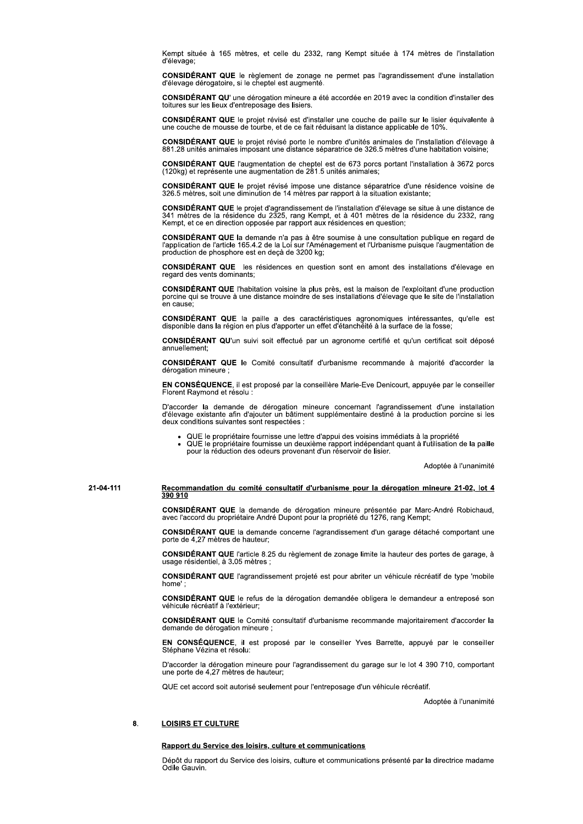Kempt située à 165 mètres, et celle du 2332, rang Kempt située à 174 mètres de l'installation d'élevage;

CONSIDÉRANT QUE le règlement de zonage ne permet pas l'agrandissement d'une installation d'élevage dérogatoire, si le cheptel est augmenté.

**CONSIDÉRANT QU'** une dérogation mineure a été accordée en 2019 avec la condition d'installer des toitures sur les lieux d'entreposage des lisiers.

CONSIDÉRANT QUE le projet révisé est d'installer une couche de paille sur le lisier équivalente à une couche de mousse de tourbe, et de ce fait réduisant la distance applicable de 10%.

CONSIDÉRANT QUE le projet révisé porte le nombre d'unités animales de l'installation d'élevage à<br>881.28 unités animales imposant une distance séparatrice de 326.5 mètres d'une habitation voisine;

CONSIDÉRANT QUE l'augmentation de cheptel est de 673 porcs portant l'installation à 3672 porcs (120kg) et représente une augmentation de 281.5 unités animales;

CONSIDÉRANT QUE le projet révisé impose une distance séparatrice d'une résidence voisine de 326.5 mètres, soit une diminution de 14 mètres par rapport à la situation existante;

CONSIDÉRANT QUE le projet d'agrandissement de l'installation d'élevage se situe à une distance de 341 mètres de la résidence du 2325, rang Kempt, et à 401 mètres de la résidence du 2332, rang<br>Kempt, et ce en direction opposée par rapport aux résidences en question;

CONSIDÉRANT QUE la demande n'a pas à être soumise à une consultation publique en regard de l'article 165.4.2 de la Loi sur l'Aménagement et l'Urbanisme puisque l'augmentation de production de phosphore est en deçà de 3200 kg;

**CONSIDÉRANT QUE** les résidences en question sont en amont des installations d'élevage en regard des vents dominants

CONSIDÉRANT QUE l'habitation voisine la plus près, est la maison de l'exploitant d'une production porcine qui se trouve à une distance moindre de ses installations d'élevage que le site de l'installation en cause:

CONSIDÉRANT QUE la paille a des caractéristiques agronomiques intéressantes, qu'elle est disponible dans la région en plus d'apporter un effet d'étanchéité à la surface de la fosse;

CONSIDÉRANT QU'un suivi soit effectué par un agronome certifié et qu'un certificat soit déposé annuellement:

CONSIDÉRANT QUE le Comité consultatif d'urbanisme recommande à majorité d'accorder la dérogation mineure ;

EN CONSÉQUENCE, il est proposé par la conseillère Marie-Eve Denicourt, appuyée par le conseiller Florent Raymond et résolu :

D'accorder la demande de dérogation mineure concernant l'agrandissement d'une installation d'élevage existante afin d'ajouter un bâtiment supplémentaire destiné à la production porcine si les deux conditions suivantes sont respectées :

- QUE le propriétaire fournisse une lettre d'appui des voisins immédiats à la propriété
- QUE le propriétaire fournisse un deuxième rapport indépendant quant à l'utilisation de la paille pour la réduction des odeurs provenant d'un réservoir de lisier.

Adoptée à l'unanimité

# 21-04-111 Recommandation du comité consultatif d'urbanisme pour la dérogation mineure 21-02, lot 4 390 910

CONSIDÉRANT QUE la demande de dérogation mineure présentée par Marc-André Robichaud, avec l'accord du propriétaire André Dupont pour la propriétaire André Dupont pour la propriétaire André Dupont pour la propriétaire André

CONSIDÉRANT QUE la demande concerne l'agrandissement d'un garage détaché comportant une porte de 4.27 mètres de hauteur:

CONSIDÉRANT QUE l'article 8.25 du règlement de zonage limite la hauteur des portes de garage, à usage résidentiel, à 3.05 mètres ;

CONSIDÉRANT QUE l'agrandissement projeté est pour abriter un véhicule récréatif de type 'mobile home'

CONSIDÉRANT QUE le refus de la dérogation demandée obligera le demandeur a entreposé son véhicule récréatif à l'extérieur:

CONSIDÉRANT QUE le Comité consultatif d'urbanisme recommande majoritairement d'accorder la demande de dérogation mineure ;

EN CONSÉQUENCE, il est proposé par le conseiller Yves Barrette, appuyé par le conseiller Stéphane Vézina et résolu:

D'accorder la dérogation mineure pour l'agrandissement du garage sur le lot 4 390 710, comportant une porte de 4,27 mètres de hauteur;

QUE cet accord soit autorisé seulement pour l'entreposage d'un véhicule récréatif.

Adoptée à l'unanimité

### 8. **LOISIRS ET CULTURE**

# Rapport du Service des loisirs, culture et communications

Dépôt du rapport du Service des loisirs, culture et communications présenté par la directrice madame Odile Gauvin.